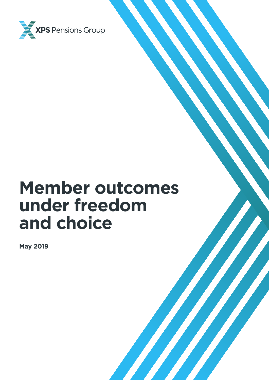

# **Member outcomes under freedom and choice**

**May 2019**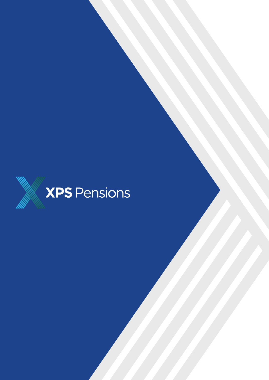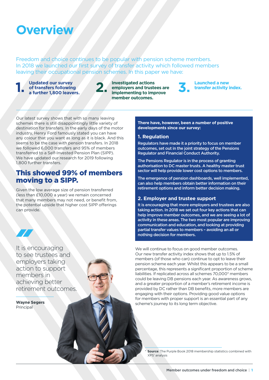# **Overview**

Freedom and choice continues to be popular with pension scheme members. In 2018 we launched our first survey of transfer activity which followed members leaving their occupational pension schemes. In this paper we have:

**1.** Updated our survey<br>of transfers following<br>a further 1,800 leave **of transfers following**  Updated our survey<br>
of transfers following<br> **a** further 1,800 leavers.<br> **a** implementing to implementing to implementing to implementing to implementing to implementing to implement of the state of the state of the state o

**employers and trustees are implementing to improve member outcomes.**



**3. Launched a new transfer activity index.**

Our latest survey shows that with so many leaving schemes there is still disappointingly little variety of destination for transfers. In the early days of the motor industry, Henry Ford famously stated you can have any colour that you want as long as it is black. And this seems to be the case with pension transfers. In 2018 we followed 6,000 transfers and 95% of members transferred to a Self-Invested Pension Plan (SIPP). We have updated our research for 2019 following 1,800 further transfers.

# This showed 99% of members moving to a SIPP.

Given the low average size of pension transferred (less than £10,000 a year) we remain concerned that many members may not need, or benefit from, the potential upside that higher cost SIPP offerings can provide.

It is encouraging to see trustees and employers taking action to support members in achieving better retirement outcomes.

**Wayne Segers Principal** 

### **There have, however, been a number of positive developments since our survey:**

### **1. Regulation**

Regulators have made it a priority to focus on member outcomes, set out in the joint strategy of the Pensions Regulator and Financial Conduct Authority.

The Pensions Regulator is in the process of granting authorisation to DC master trusts. A healthy master trust sector will help provide lower cost options to members.

The emergence of pension dashboards, well implemented, can also help members obtain better information on their retirement options and inform better decision making.

## **2. Employer and trustee support**

It is encouraging that more employers and trustees are also taking action. In 2018 we set out four key actions that can help improve member outcomes, and we are seeing a lot of activity in these areas. The two most popular are improving communication and education, and looking at providing partial transfer values to members – avoiding an all or nothing decision for members.

We will continue to focus on good member outcomes. Our new transfer activity index shows that up to 1.5% of members (of those who can) continue to opt to leave their pension scheme each year. Whilst this appears to be a small percentage, this represents a significant proportion of scheme liabilities. If replicated across all schemes 70,000\* members could be leaving DB pensions each year. As awareness grows, and a greater proportion of a member's retirement income is provided by DC rather than DB benefits, more members are engaging with their options. Providing good value options for members with proper support is an essential part of any scheme's journey to its long term objective.

**Source:** The Purple Book 2018 membership statistics combined with XPS' analysis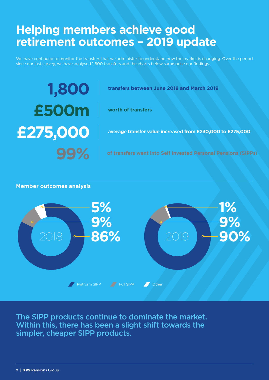# **Helping members achieve good retirement outcomes – 2019 update**

We have continued to monitor the transfers that we administer to understand how the market is changing. Over the period since our last survey, we have analysed 1,800 transfers and the charts below summarise our findings.

# **1,800 £500m £275,000**

**transfers between June 2018 and March 2019**

**worth of transfers**

**average transfer value increased from £230,000 to £275,000**

## **Member outcomes analysis**



The SIPP products continue to dominate the market. Within this, there has been a slight shift towards the simpler, cheaper SIPP products.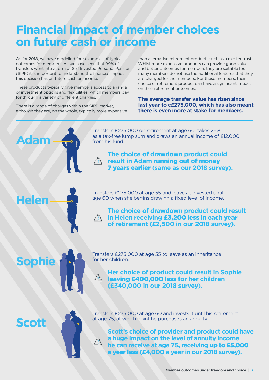# **Financial impact of member choices on future cash or income**

As for 2018, we have modelled four examples of typical outcomes for members. As we have seen that 99% of transfers went into a form of Self Invested Personal Pension (SIPP) it is important to understand the financial impact this decision has on future cash or income.

These products typically give members access to a range of investment options and flexibilities, which members pay for through a variety of different charges.

There is a range of charges within the SIPP market, although they are, on the whole, typically more expensive than alternative retirement products such as a master trust. Whilst more expensive products can provide good value and better outcomes for members they are suitable for, many members do not use the additional features that they are charged for the members. For these members, their choice of retirement product can have a significant impact on their retirement outcomes.

**The average transfer value has risen since last year to c£275,000, which has also meant there is even more at stake for members.**



**Helen**

**Sophie**

Transfers £275,000 on retirement at age 60, takes 25% as a tax-free lump sum and draws an annual income of £12,000 from his fund.

**The choice of drawdown product could result in Adam** running out of money 7 years earlier **(same as our 2018 survey).**

Transfers £275,000 at age 55 and leaves it invested until age 60 when she begins drawing a fixed level of income.

**The choice of drawdown product could result in Helen receiving** £3,200 less in each year **of retirement (£2,500 in our 2018 survey).**

Transfers £275,000 at age 55 to leave as an inheritance for her children.

**Her choice of product could result in Sophie**  leaving £400,000 less **for her children (£340,000 in our 2018 survey).**



**Scott's choice of provider and product could have a huge impact on the level of annuity income he can receive at age 75, receiving** up to £5,000

a year less **(£4,000 a year in our 2018 survey).**

Transfers £275,000 at age 60 and invests it until his retirement

at age 75, at which point he purchases an annuity.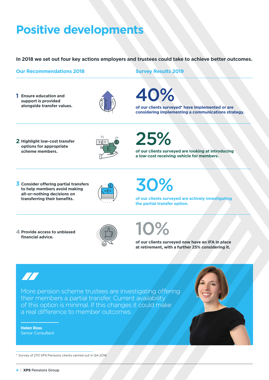# **Positive developments**

**In 2018 we set out four key actions employers and trustees could take to achieve better outcomes.**

# **Our Recommendations 2018 Survey Results 2019**

**1 Ensure education and support is provided alongside transfer values.**



40%

**of our clients surveyed\* have implemented or are considering implementing a communications strategy.**

**2 Highlight low-cost transfer options for appropriate scheme members.**



25%

**of our clients surveyed are looking at introducing a low-cost receiving vehicle for members.**

**3 Consider offering partial transfers to help members avoid making all-or-nothing decisions on transferring their benefits.**



30%

**of our clients surveyed are actively investigating the partial transfer option.**

**4 Provide access to unbiased financial advice.**



10%

**of our clients surveyed now have an IFA in place at retirement, with a further 25% considering it.**



More pension scheme trustees are investigating offering their members a partial transfer. Current availability of this option is minimal. If this changes it could make a real difference to member outcomes.

**Helen Ross** Senior Consultant



\* Survey of 270 XPS Pensions clients carried out in Q4 2018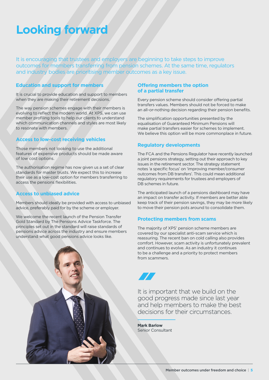# **Looking forward**

It is encouraging that trustees and employers are beginning to take steps to improve outcomes for members transferring from pension schemes. At the same time, regulators and industry bodies are prioritising member outcomes as a key issue.

### **Education and support for members**

It is crucial to provide education and support to members when they are making their retirement decisions.

The way pension schemes engage with their members is evolving to reflect the modern world. At XPS, we can use member profiling tools to help our clients to understand which communication channels and styles are most likely to resonate with members.

## **Access to low-cost receiving vehicles**

Those members not looking to use the additional features of expensive products should be made aware of low cost options.

The authorisation regime has now given us a set of clear standards for master trusts. We expect this to increase their use as a low-cost option for members transferring to access the pensions flexibilities.

## **Access to unbiased advice**

Members should ideally be provided with access to unbiased advice, preferably paid for by the scheme or employer.

We welcome the recent launch of the Pension Transfer Gold Standard by The Pensions Advice Taskforce. The principles set out in the standard will raise standards of pensions advice across the industry and ensure members understand what good pensions advice looks like.



### **Offering members the option of a partial transfer**

Every pension scheme should consider offering partial transfers values. Members should not be forced to make an all-or-nothing decision regarding their pension benefits.

The simplification opportunities presented by the equalisation of Guaranteed Minimum Pensions will make partial transfers easier for schemes to implement. We believe this option will be more commonplace in future.

## **Regulatory developments**

The FCA and the Pensions Regulator have recently launched a joint pensions strategy, setting out their approach to key issues in the retirement sector. The strategy statement notes 'a specific focus' on 'improving member/consumer outcomes from DB transfers'. This could mean additional regulatory requirements for trustees and employers of DB schemes in future.

The anticipated launch of a pensions dashboard may have an impact on transfer activity. If members are better able keep track of their pension savings, they may be more likely to move their pension pots around to consolidate them.

## **Protecting members from scams**

The majority of XPS' pension scheme members are covered by our specialist anti-scam service which is reassuring. The recent ban on cold calling also provides comfort. However, scam activity is unfortunately prevalent and continues to evolve. As an industry it continues to be a challenge and a priority to protect members from scammers.



It is important that we build on the good progress made since last year and help members to make the best decisions for their circumstances.

**Mark Barlow** Senior Consultant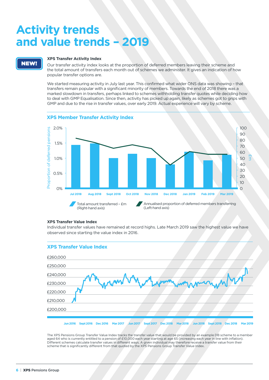# **Activity trends and value trends – 2019**

# NEW!

### **XPS Transfer Activity Index**

Our transfer activity index looks at the proportion of deferred members leaving their scheme and the total amount of transfers each month out of schemes we administer. It gives an indication of how popular transfer options are.

We started measuring activity in July last year. This confirmed what wider ONS data was showing - that transfers remain popular with a significant minority of members. Towards the end of 2018 there was a marked slowdown in transfers, perhaps linked to schemes withholding transfer quotes while deciding how to deal with GMP Equalisation. Since then, activity has picked up again, likely as schemes got to grips with GMP and due to the rise in transfer values, over early 2019. Actual experience will vary by scheme.



### **XPS Member Transfer Activity Index**

### **XPS Transfer Value Index**

Individual transfer values have remained at record highs. Late March 2019 saw the highest value we have observed since starting the value index in 2016.



The XPS Pensions Group Transfer Value Index tracks the transfer value that would be provided by an example DB scheme to a member aged 64 who is currently entitled to a pension of £10,000 each year starting at age 65 (increasing each year in line with inflation). Different schemes calculate transfer values in different ways. A given individual may therefore receive a transfer value from their scheme that is significantly different from that quoted by the XPS Pensions Group Transfer Value Index.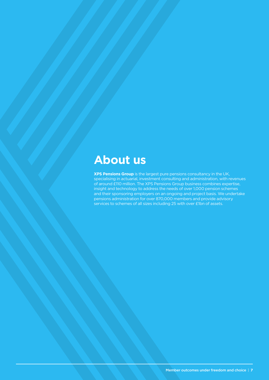# **About us**

**XPS Pensions Group** is the largest pure pensions consultancy in the UK, specialising in actuarial, investment consulting and administration, with revenues of around £110 million. The XPS Pensions Group business combines expertise, insight and technology to address the needs of over 1,000 pension schemes and their sponsoring employers on an ongoing and project basis. We undertake pensions administration for over 870,000 members and provide advisory services to schemes of all sizes including 25 with over £1bn of assets.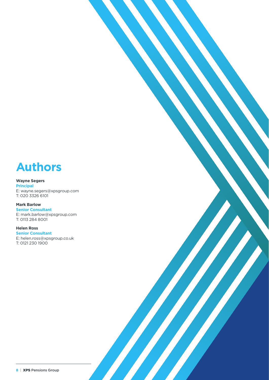# **Authors**

### **Wayne Segers**

**Principal** E: [wayne.segers@xpsgroup.com](mailto:wayne.segers%40xpsgroup.com?subject=) T: 020 3326 6101

# **Mark Barlow**

**Senior Consultant** E: [mark.barlow@xpsgroup.com](mailto:mark.barlow%40xpsgroup.com?subject=) T: 0113 284 8001

#### **Helen Ross Senior Consultant**

E: [helen.ross@xpsgroup.co.uk](mailto:helen.ross%40xpsgroup.co.uk?subject=) T: 0121 230 1900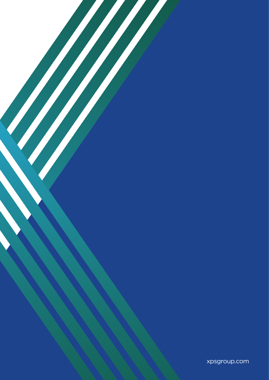